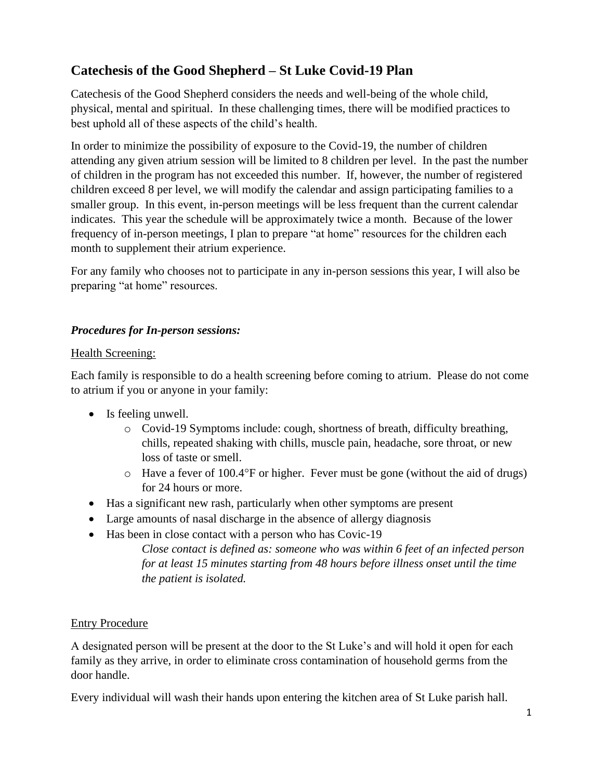# **Catechesis of the Good Shepherd – St Luke Covid-19 Plan**

Catechesis of the Good Shepherd considers the needs and well-being of the whole child, physical, mental and spiritual. In these challenging times, there will be modified practices to best uphold all of these aspects of the child's health.

In order to minimize the possibility of exposure to the Covid-19, the number of children attending any given atrium session will be limited to 8 children per level. In the past the number of children in the program has not exceeded this number. If, however, the number of registered children exceed 8 per level, we will modify the calendar and assign participating families to a smaller group. In this event, in-person meetings will be less frequent than the current calendar indicates. This year the schedule will be approximately twice a month. Because of the lower frequency of in-person meetings, I plan to prepare "at home" resources for the children each month to supplement their atrium experience.

For any family who chooses not to participate in any in-person sessions this year, I will also be preparing "at home" resources.

# *Procedures for In-person sessions:*

### Health Screening:

Each family is responsible to do a health screening before coming to atrium. Please do not come to atrium if you or anyone in your family:

- Is feeling unwell.
	- o Covid-19 Symptoms include: cough, shortness of breath, difficulty breathing, chills, repeated shaking with chills, muscle pain, headache, sore throat, or new loss of taste or smell.
	- $\circ$  Have a fever of 100.4°F or higher. Fever must be gone (without the aid of drugs) for 24 hours or more.
- Has a significant new rash, particularly when other symptoms are present
- Large amounts of nasal discharge in the absence of allergy diagnosis
- Has been in close contact with a person who has Covic-19

*Close contact is defined as: someone who was within 6 feet of an infected person for at least 15 minutes starting from 48 hours before illness onset until the time the patient is isolated.*

### Entry Procedure

A designated person will be present at the door to the St Luke's and will hold it open for each family as they arrive, in order to eliminate cross contamination of household germs from the door handle.

Every individual will wash their hands upon entering the kitchen area of St Luke parish hall.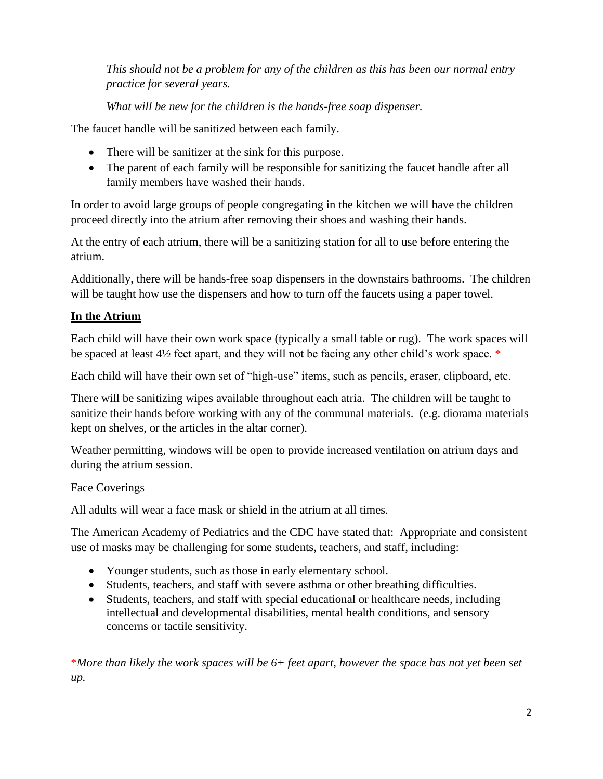*This should not be a problem for any of the children as this has been our normal entry practice for several years.*

*What will be new for the children is the hands-free soap dispenser.*

The faucet handle will be sanitized between each family.

- There will be sanitizer at the sink for this purpose.
- The parent of each family will be responsible for sanitizing the faucet handle after all family members have washed their hands.

In order to avoid large groups of people congregating in the kitchen we will have the children proceed directly into the atrium after removing their shoes and washing their hands.

At the entry of each atrium, there will be a sanitizing station for all to use before entering the atrium.

Additionally, there will be hands-free soap dispensers in the downstairs bathrooms. The children will be taught how use the dispensers and how to turn off the faucets using a paper towel.

# **In the Atrium**

Each child will have their own work space (typically a small table or rug). The work spaces will be spaced at least 4½ feet apart, and they will not be facing any other child's work space. \*

Each child will have their own set of "high-use" items, such as pencils, eraser, clipboard, etc.

There will be sanitizing wipes available throughout each atria. The children will be taught to sanitize their hands before working with any of the communal materials. (e.g. diorama materials kept on shelves, or the articles in the altar corner).

Weather permitting, windows will be open to provide increased ventilation on atrium days and during the atrium session.

### Face Coverings

All adults will wear a face mask or shield in the atrium at all times.

The American Academy of Pediatrics and the CDC have stated that: Appropriate and consistent use of masks may be challenging for some students, teachers, and staff, including:

- Younger students, such as those in early elementary school.
- Students, teachers, and staff with severe asthma or other breathing difficulties.
- Students, teachers, and staff with special educational or healthcare needs, including intellectual and developmental disabilities, mental health conditions, and sensory concerns or tactile sensitivity.

\**More than likely the work spaces will be 6+ feet apart, however the space has not yet been set up.*